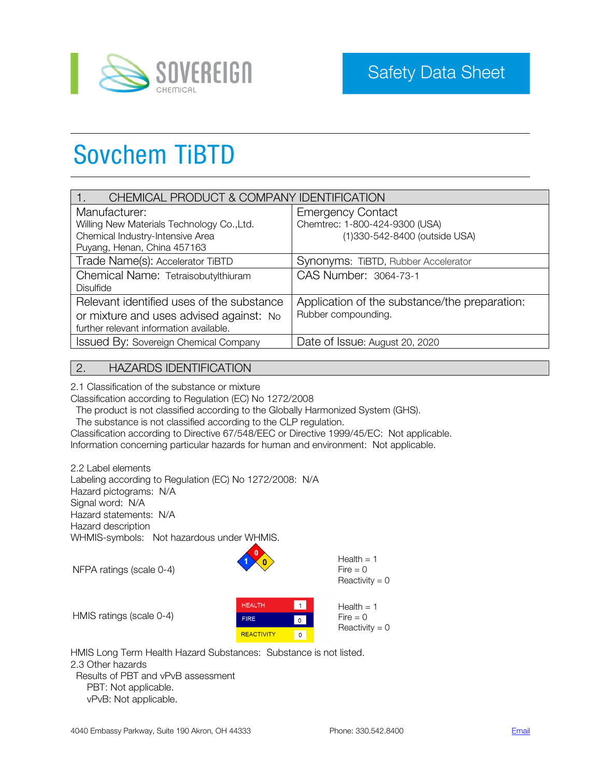

# Sovchem TiBTD

| CHEMICAL PRODUCT & COMPANY IDENTIFICATION    |                                               |  |
|----------------------------------------------|-----------------------------------------------|--|
| Manufacturer:                                | <b>Emergency Contact</b>                      |  |
| Willing New Materials Technology Co., Ltd.   | Chemtrec: 1-800-424-9300 (USA)                |  |
| Chemical Industry-Intensive Area             | (1)330-542-8400 (outside USA)                 |  |
| Puyang, Henan, China 457163                  |                                               |  |
| Trade Name(s): Accelerator TiBTD             | Synonyms: TiBTD, Rubber Accelerator           |  |
| Chemical Name: Tetraisobutylthiuram          | CAS Number: 3064-73-1                         |  |
| <b>Disulfide</b>                             |                                               |  |
| Relevant identified uses of the substance    | Application of the substance/the preparation: |  |
| or mixture and uses advised against: No      | Rubber compounding.                           |  |
| further relevant information available.      |                                               |  |
| <b>Issued By: Sovereign Chemical Company</b> | Date of Issue: August 20, 2020                |  |

## 2. HAZARDS IDENTIFICATION

2.1 Classification of the substance or mixture

Classification according to Regulation (EC) No 1272/2008

The product is not classified according to the Globally Harmonized System (GHS).

The substance is not classified according to the CLP regulation.

Classification according to Directive 67/548/EEC or Directive 1999/45/EC: Not applicable. Information concerning particular hazards for human and environment: Not applicable.

2.2 Label elements Labeling according to Regulation (EC) No 1272/2008: N/A Hazard pictograms: N/A Signal word: N/A Hazard statements: N/A Hazard description WHMIS-symbols: Not hazardous under WHMIS.

NFPA ratings (scale 0-4)



 $Health = 1$  $Fire = 0$  $Reactivity = 0$ 

| HMIS ratings (scale 0-4) |  |
|--------------------------|--|
|                          |  |



HMIS Long Term Health Hazard Substances: Substance is not listed. 2.3 Other hazards Results of PBT and vPvB assessment PBT: Not applicable. vPvB: Not applicable.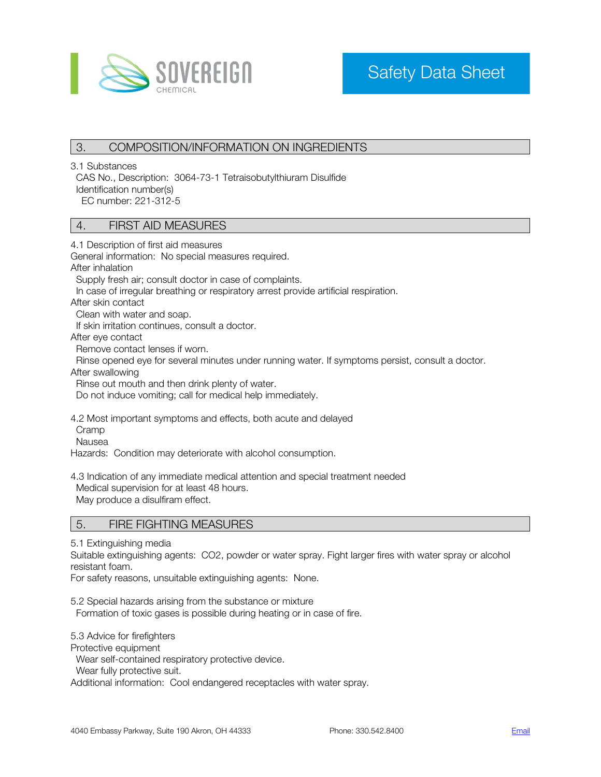

# 3. COMPOSITION/INFORMATION ON INGREDIENTS

3.1 Substances

 CAS No., Description: 3064-73-1 Tetraisobutylthiuram Disulfide Identification number(s) EC number: 221-312-5

### 4. FIRST AID MEASURES

4.1 Description of first aid measures

General information: No special measures required.

After inhalation

Supply fresh air; consult doctor in case of complaints.

In case of irregular breathing or respiratory arrest provide artificial respiration.

After skin contact

Clean with water and soap.

If skin irritation continues, consult a doctor.

After eye contact

Remove contact lenses if worn.

Rinse opened eye for several minutes under running water. If symptoms persist, consult a doctor.

After swallowing

Rinse out mouth and then drink plenty of water.

Do not induce vomiting; call for medical help immediately.

4.2 Most important symptoms and effects, both acute and delayed

Cramp

Nausea

Hazards: Condition may deteriorate with alcohol consumption.

4.3 Indication of any immediate medical attention and special treatment needed

Medical supervision for at least 48 hours.

May produce a disulfiram effect.

## 5. FIRE FIGHTING MEASURES

5.1 Extinguishing media

Suitable extinguishing agents: CO2, powder or water spray. Fight larger fires with water spray or alcohol resistant foam.

For safety reasons, unsuitable extinguishing agents: None.

5.2 Special hazards arising from the substance or mixture

Formation of toxic gases is possible during heating or in case of fire.

5.3 Advice for firefighters

Protective equipment

Wear self-contained respiratory protective device.

Wear fully protective suit.

Additional information: Cool endangered receptacles with water spray.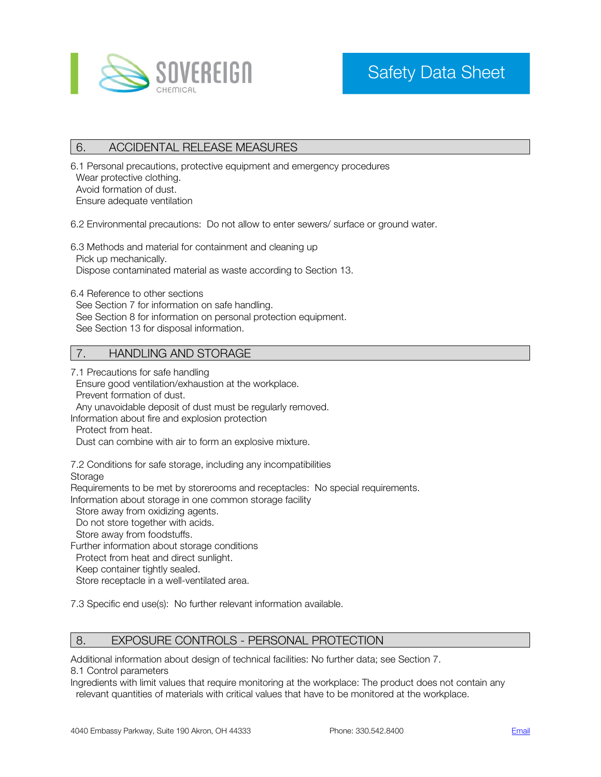

# 6. ACCIDENTAL RELEASE MEASURES

6.1 Personal precautions, protective equipment and emergency procedures Wear protective clothing. Avoid formation of dust. Ensure adequate ventilation

6.2 Environmental precautions: Do not allow to enter sewers/ surface or ground water.

6.3 Methods and material for containment and cleaning up Pick up mechanically. Dispose contaminated material as waste according to Section 13.

6.4 Reference to other sections See Section 7 for information on safe handling. See Section 8 for information on personal protection equipment.

#### See Section 13 for disposal information.

## 7. HANDLING AND STORAGE

7.1 Precautions for safe handling

 Ensure good ventilation/exhaustion at the workplace. Prevent formation of dust.

Any unavoidable deposit of dust must be regularly removed.

Information about fire and explosion protection

Protect from heat.

Dust can combine with air to form an explosive mixture.

7.2 Conditions for safe storage, including any incompatibilities

**Storage** 

Requirements to be met by storerooms and receptacles: No special requirements.

Information about storage in one common storage facility

Store away from oxidizing agents.

Do not store together with acids.

Store away from foodstuffs.

Further information about storage conditions

Protect from heat and direct sunlight.

Keep container tightly sealed.

Store receptacle in a well-ventilated area.

7.3 Specific end use(s): No further relevant information available.

### 8. EXPOSURE CONTROLS - PERSONAL PROTECTION

Additional information about design of technical facilities: No further data; see Section 7. 8.1 Control parameters

Ingredients with limit values that require monitoring at the workplace: The product does not contain any relevant quantities of materials with critical values that have to be monitored at the workplace.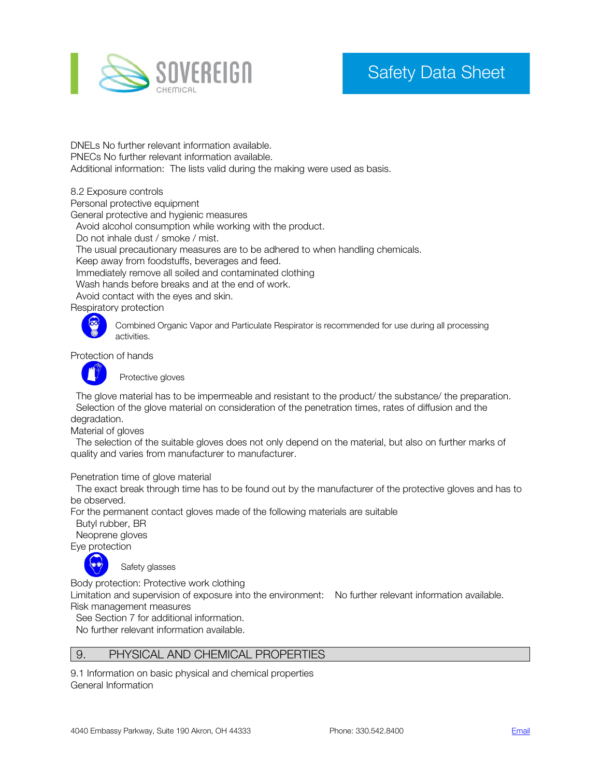

# Safety Data Sheet

DNELs No further relevant information available. PNECs No further relevant information available. Additional information: The lists valid during the making were used as basis.

8.2 Exposure controls

Personal protective equipment

General protective and hygienic measures

Avoid alcohol consumption while working with the product.

Do not inhale dust / smoke / mist.

The usual precautionary measures are to be adhered to when handling chemicals.

Keep away from foodstuffs, beverages and feed.

Immediately remove all soiled and contaminated clothing

Wash hands before breaks and at the end of work.

Avoid contact with the eyes and skin.

Respiratory protection



Combined Organic Vapor and Particulate Respirator is recommended for use during all processing activities.

Protection of hands



Protective gloves

 The glove material has to be impermeable and resistant to the product/ the substance/ the preparation. Selection of the glove material on consideration of the penetration times, rates of diffusion and the degradation.

Material of gloves

 The selection of the suitable gloves does not only depend on the material, but also on further marks of quality and varies from manufacturer to manufacturer.

Penetration time of glove material

 The exact break through time has to be found out by the manufacturer of the protective gloves and has to be observed.

For the permanent contact gloves made of the following materials are suitable

Butyl rubber, BR

Neoprene gloves

Eye protection



Safety glasses

Body protection: Protective work clothing

Limitation and supervision of exposure into the environment: No further relevant information available. Risk management measures

See Section 7 for additional information.

No further relevant information available.

### 9. PHYSICAL AND CHEMICAL PROPERTIES

9.1 Information on basic physical and chemical properties General Information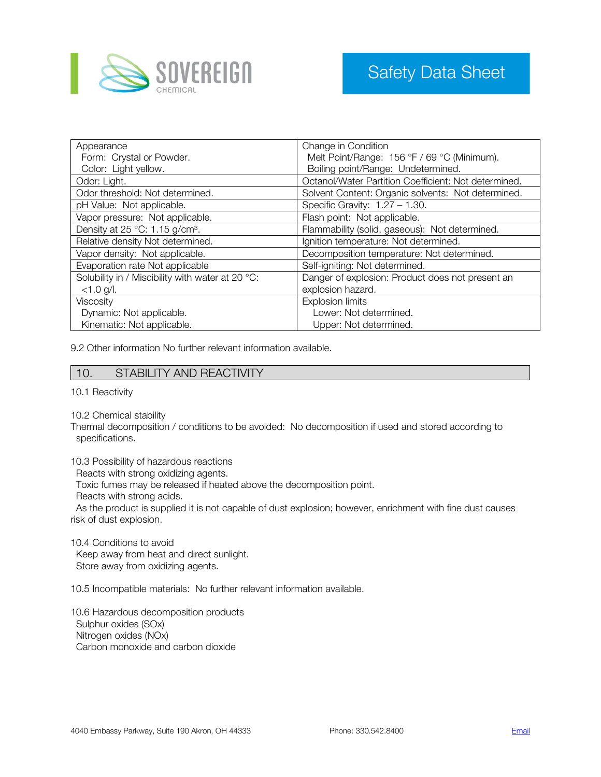

| Appearance                                          | Change in Condition                                  |  |
|-----------------------------------------------------|------------------------------------------------------|--|
| Form: Crystal or Powder.                            | Melt Point/Range: 156 °F / 69 °C (Minimum).          |  |
| Color: Light yellow.                                | Boiling point/Range: Undetermined.                   |  |
| Odor: Light.                                        | Octanol/Water Partition Coefficient: Not determined. |  |
| Odor threshold: Not determined.                     | Solvent Content: Organic solvents: Not determined.   |  |
| pH Value: Not applicable.                           | Specific Gravity: $1.27 - 1.30$ .                    |  |
| Vapor pressure: Not applicable.                     | Flash point: Not applicable.                         |  |
| Density at $25^{\circ}$ C: 1.15 g/cm <sup>3</sup> . | Flammability (solid, gaseous): Not determined.       |  |
| Relative density Not determined.                    | Ignition temperature: Not determined.                |  |
| Vapor density: Not applicable.                      | Decomposition temperature: Not determined.           |  |
| Evaporation rate Not applicable                     | Self-igniting: Not determined.                       |  |
| Solubility in / Miscibility with water at 20 °C:    | Danger of explosion: Product does not present an     |  |
| $< 1.0$ g/l.                                        | explosion hazard.                                    |  |
| Viscosity                                           | <b>Explosion limits</b>                              |  |
| Dynamic: Not applicable.                            | Lower: Not determined.                               |  |
| Kinematic: Not applicable.                          | Upper: Not determined.                               |  |

9.2 Other information No further relevant information available.

### 10. STABILITY AND REACTIVITY

10.1 Reactivity

10.2 Chemical stability

Thermal decomposition / conditions to be avoided: No decomposition if used and stored according to specifications.

10.3 Possibility of hazardous reactions

Reacts with strong oxidizing agents.

Toxic fumes may be released if heated above the decomposition point.

Reacts with strong acids.

 As the product is supplied it is not capable of dust explosion; however, enrichment with fine dust causes risk of dust explosion.

10.4 Conditions to avoid Keep away from heat and direct sunlight. Store away from oxidizing agents.

10.5 Incompatible materials: No further relevant information available.

10.6 Hazardous decomposition products Sulphur oxides (SOx) Nitrogen oxides (NOx) Carbon monoxide and carbon dioxide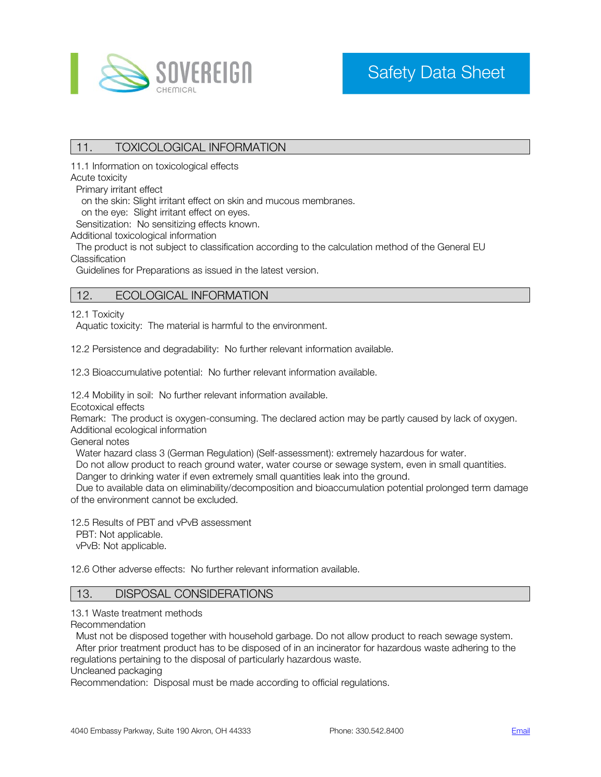

# 11. TOXICOLOGICAL INFORMATION

11.1 Information on toxicological effects

Acute toxicity

Primary irritant effect

on the skin: Slight irritant effect on skin and mucous membranes.

on the eye: Slight irritant effect on eyes.

Sensitization: No sensitizing effects known.

Additional toxicological information

 The product is not subject to classification according to the calculation method of the General EU Classification

Guidelines for Preparations as issued in the latest version.

### 12. ECOLOGICAL INFORMATION

12.1 Toxicity

Aquatic toxicity: The material is harmful to the environment.

12.2 Persistence and degradability: No further relevant information available.

12.3 Bioaccumulative potential: No further relevant information available.

12.4 Mobility in soil: No further relevant information available.

Ecotoxical effects

Remark: The product is oxygen-consuming. The declared action may be partly caused by lack of oxygen. Additional ecological information

General notes

Water hazard class 3 (German Regulation) (Self-assessment): extremely hazardous for water.

Do not allow product to reach ground water, water course or sewage system, even in small quantities.

Danger to drinking water if even extremely small quantities leak into the ground.

 Due to available data on eliminability/decomposition and bioaccumulation potential prolonged term damage of the environment cannot be excluded.

12.5 Results of PBT and vPvB assessment

PBT: Not applicable.

vPvB: Not applicable.

12.6 Other adverse effects: No further relevant information available.

### 13. DISPOSAL CONSIDERATIONS

13.1 Waste treatment methods

Recommendation

 Must not be disposed together with household garbage. Do not allow product to reach sewage system. After prior treatment product has to be disposed of in an incinerator for hazardous waste adhering to the

regulations pertaining to the disposal of particularly hazardous waste.

Uncleaned packaging

Recommendation: Disposal must be made according to official regulations.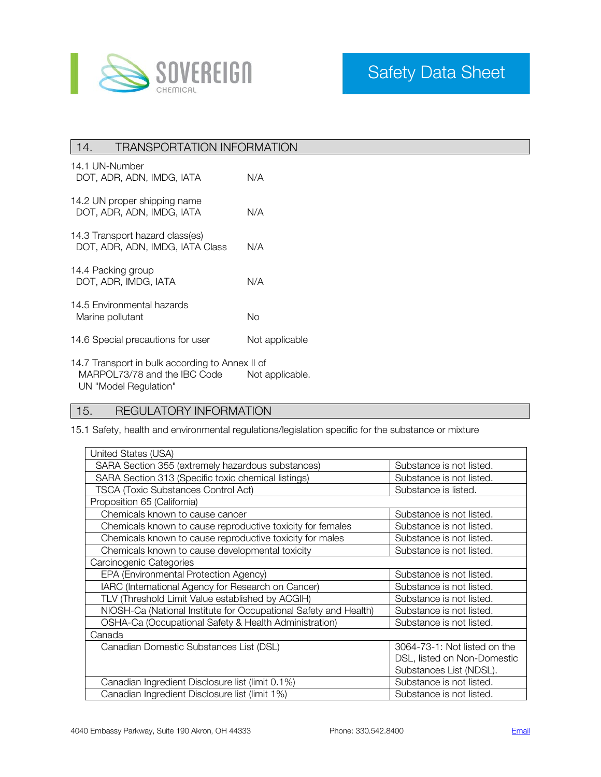

# 14. TRANSPORTATION INFORMATION

| 14.1 UN-Number<br>DOT, ADR, ADN, IMDG, IATA                        | N/A            |
|--------------------------------------------------------------------|----------------|
| 14.2 UN proper shipping name<br>DOT, ADR, ADN, IMDG, IATA          | N/A            |
| 14.3 Transport hazard class(es)<br>DOT, ADR, ADN, IMDG, IATA Class | N/A            |
| 14.4 Packing group<br>DOT, ADR, IMDG, IATA                         | N/A            |
| 14.5 Environmental hazards<br>Marine pollutant                     | N٥             |
| 14.6 Special precautions for user                                  | Not applicable |

14.7 Transport in bulk according to Annex II of MARPOL73/78 and the IBC Code Not applicable. UN "Model Regulation"

# 15. REGULATORY INFORMATION

15.1 Safety, health and environmental regulations/legislation specific for the substance or mixture

| United States (USA)                                              |                              |  |  |
|------------------------------------------------------------------|------------------------------|--|--|
| SARA Section 355 (extremely hazardous substances)                | Substance is not listed.     |  |  |
| SARA Section 313 (Specific toxic chemical listings)              | Substance is not listed.     |  |  |
| <b>TSCA (Toxic Substances Control Act)</b>                       | Substance is listed.         |  |  |
| Proposition 65 (California)                                      |                              |  |  |
| Chemicals known to cause cancer                                  | Substance is not listed.     |  |  |
| Chemicals known to cause reproductive toxicity for females       | Substance is not listed.     |  |  |
| Chemicals known to cause reproductive toxicity for males         | Substance is not listed.     |  |  |
| Chemicals known to cause developmental toxicity                  | Substance is not listed.     |  |  |
| Carcinogenic Categories                                          |                              |  |  |
| EPA (Environmental Protection Agency)                            | Substance is not listed.     |  |  |
| IARC (International Agency for Research on Cancer)               | Substance is not listed.     |  |  |
| TLV (Threshold Limit Value established by ACGIH)                 | Substance is not listed.     |  |  |
| NIOSH-Ca (National Institute for Occupational Safety and Health) | Substance is not listed.     |  |  |
| OSHA-Ca (Occupational Safety & Health Administration)            | Substance is not listed.     |  |  |
| Canada                                                           |                              |  |  |
| Canadian Domestic Substances List (DSL)                          | 3064-73-1: Not listed on the |  |  |
|                                                                  | DSL, listed on Non-Domestic  |  |  |
|                                                                  | Substances List (NDSL).      |  |  |
| Canadian Ingredient Disclosure list (limit 0.1%)                 | Substance is not listed.     |  |  |
| Canadian Ingredient Disclosure list (limit 1%)                   | Substance is not listed.     |  |  |